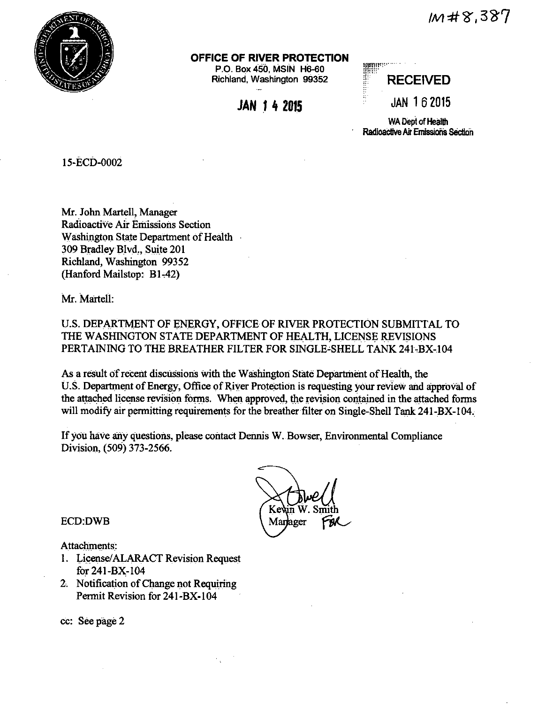$1/48.387$ 



### OFFICE OF RIVER PROTECTION

P.O. Box 450, MSIN H6-60 Richland, Washington 99352

**JAN 1 4 2015** 

RE<br>RE<br>JA **RECEIVED JAN 162015** 

WA Dept of Health Radioactive Air Emissions Section

15-ECD-0002

Mr. John Martell, Manager Radioactive Air Emissions Section Washington State Department of Health 309 Bradley Blvd., Suite 201 Richland, Washington 99352 (Hanford Mailstop: B1-42)

Mr. Martell

U.S. DEPARTMENT OF ENERGY, OFFICE OF RIVER PROTECTION SUBMITTAL TO THE WASHINGTON STATE DEPARTMENT OF HEALTH, LICENSE REVISIONS PERTAINING TO THE BREATHER FILTER FOR SINGLE-SHELL TANK 241-BX-104

As a result of recent discussions with the Washington State Department of Health, the U.S. Department of Energy, Office of River Protection is requesting your review and approval of the attached license revision forms. When approved, the revision contained in the attached forms will modify air permitting requirements for the breather filter on Single-Shell Tank 241-BX-104.

If you have any questions, please contact Dennis W. Bowser, Environmental Compliance Division, (509) 373-2566.

> Ke Manager

**ECD:DWB** 

Attachments:

- 1. License/ALARACT Revision Request for 241-BX-104
- 2. Notification of Change not Requiring Permit Revision for 241-BX-104

cc: See page 2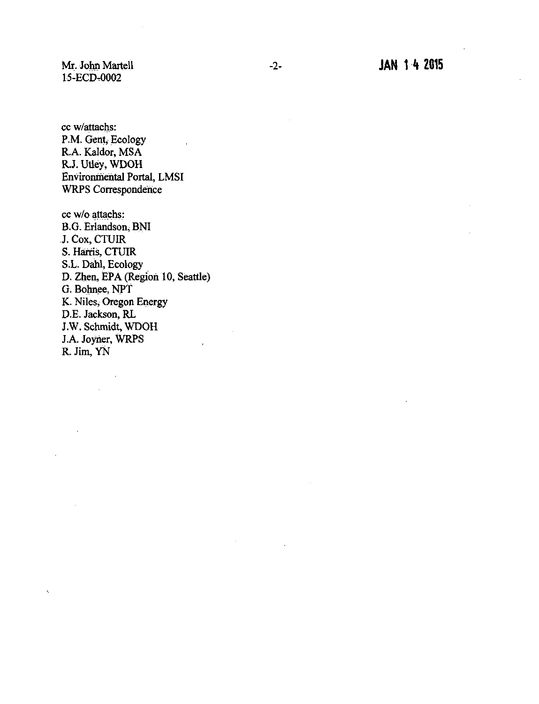Mr. John Martell 15-ECD.0002

cc w/attachs: P.M. Gent, Ecology R.A. Kaldor, MSA R.J. Utley, WDOH Environmental Portal, LMSI WRPS Correspondence

cc w/o attachs: B.G. Erlandson; BNI J. Cox, CTUIR S. Harris, CTUIR S.L. Dahl, Ecology D. Zhen, EPA (Region 10, Seattle) G. Bohnee, NPT K. Niles; Oregon Energy D.E. Jackson, RL J.W. Schmidt, WDOH J.A. Joyner, WRPS R.Jim, YN

 $\mathbf{r}$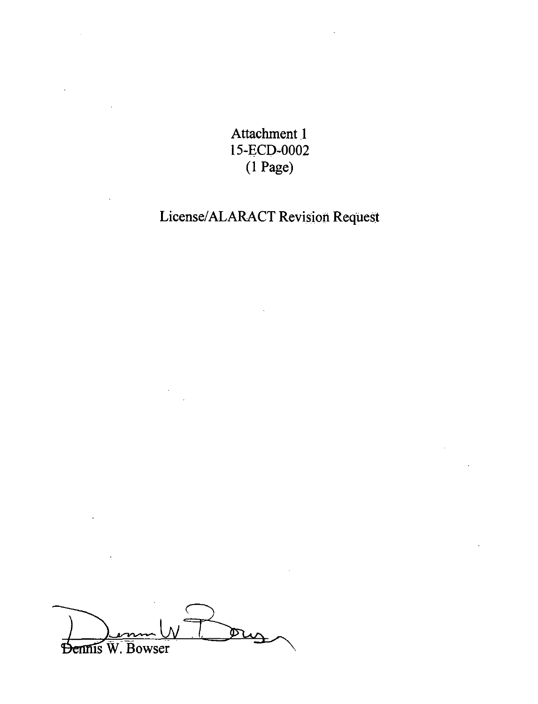Attachment J 15-ECD-0002 (1 Page)

# License/ALARACT Revision Request

Oug Dennis W. Bowser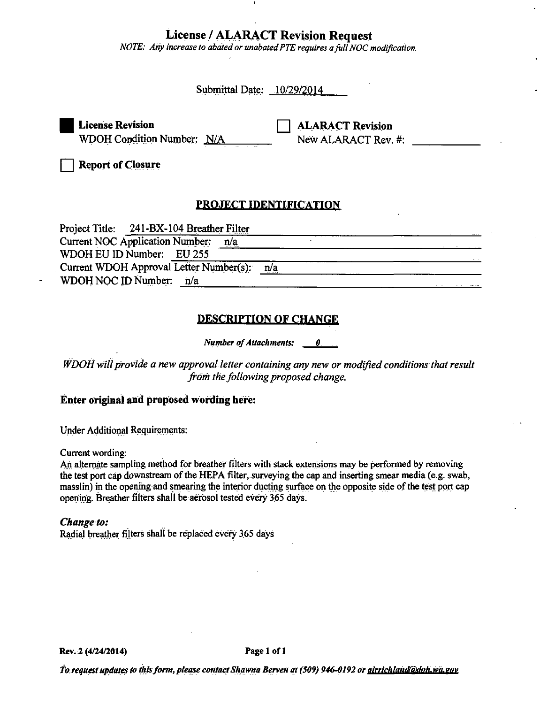## **License / ALARACT Revision Request**

NOTE: Any increase to abated or unabated PTE requires a full NOC modification.

Submittal Date: 10/29/2014

**License Revision** WDOH Condition Number: N/A

**ALARACT Revision** New ALARACT Rev. #:

**Report of Closure** 

# **PROJECT IDENTIFICATION**

| Project Title: 241-BX-104 Breather Filter     |            |
|-----------------------------------------------|------------|
| <b>Current NOC Application Number:</b><br>n/a |            |
| WDOH EU ID Number: EU 255                     |            |
| Current WDOH Approval Letter Number(s):       | <u>n/a</u> |
| WDOH NOC ID Number: n/a                       |            |

# **DESCRIPTION OF CHANGE**

**Number of Attachments:** 0.

WDOH will provide a new approval letter containing any new or modified conditions that result from the following proposed change.

## Enter original and proposed wording here:

**Under Additional Requirements:** 

Current wording:

An alternate sampling method for breather filters with stack extensions may be performed by removing the test port cap downstream of the HEPA filter, surveying the cap and inserting smear media (e.g. swab, masslin) in the opening and smearing the interior ducting surface on the opposite side of the test port cap opening. Breather filters shall be aerosol tested every 365 days.

## Change to:

Radial breather filters shall be replaced every 365 days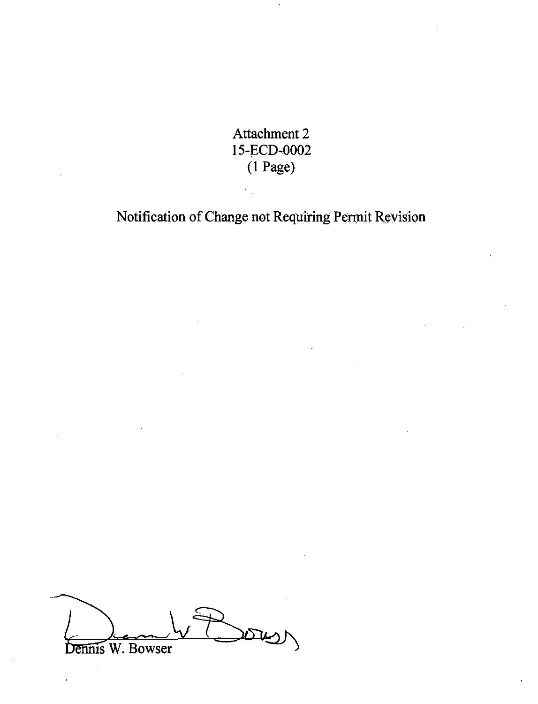Attachment 2 15-ECD-0002 (I Page)

Notification of Change not Requiring Permit Revision

<u>rth</u> Dennis W. Bowser